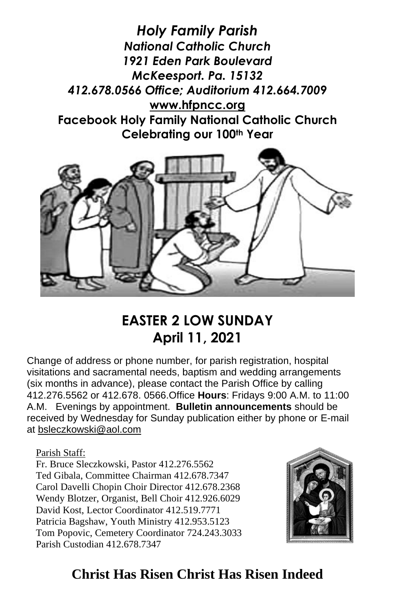



# **EASTER 2 LOW SUNDAY April 11, 2021**

Change of address or phone number, for parish registration, hospital visitations and sacramental needs, baptism and wedding arrangements (six months in advance), please contact the Parish Office by calling 412.276.5562 or 412.678. 0566.Office **Hours**: Fridays 9:00 A.M. to 11:00 A.M. Evenings by appointment. **Bulletin announcements** should be received by Wednesday for Sunday publication either by phone or E-mail at [bsleczkowski@aol.com](mailto:bsleczkowski@aol.com)

Parish Staff:

Fr. Bruce Sleczkowski, Pastor 412.276.5562 Ted Gibala, Committee Chairman 412.678.7347 Carol Davelli Chopin Choir Director 412.678.2368 Wendy Blotzer, Organist, Bell Choir 412.926.6029 David Kost, Lector Coordinator 412.519.7771 Patricia Bagshaw, Youth Ministry 412.953.5123 Tom Popovic, Cemetery Coordinator 724.243.3033 Parish Custodian 412.678.7347



## **Christ Has Risen Christ Has Risen Indeed**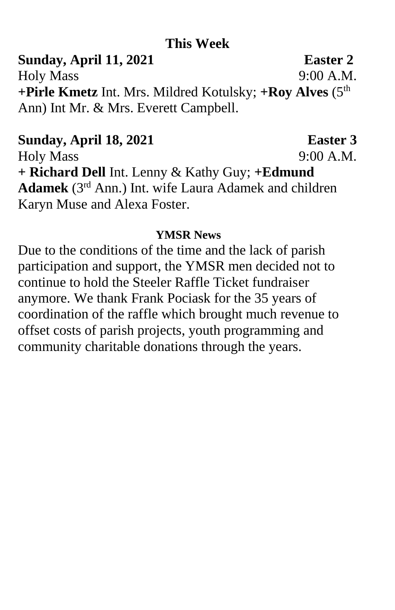### **This Week**

**Sunday, April 11, 2021 Easter 2** Holy Mass 9:00 A.M. **+Pirle Kmetz** Int. Mrs. Mildred Kotulsky; **+Roy Alves** (5th Ann) Int Mr. & Mrs. Everett Campbell.

# **Sunday, April 18, 2021 Easter 3**

Holy Mass 9:00 A.M. **+ Richard Dell** Int. Lenny & Kathy Guy; **+Edmund Adamek** (3rd Ann.) Int. wife Laura Adamek and children Karyn Muse and Alexa Foster.

### **YMSR News**

Due to the conditions of the time and the lack of parish participation and support, the YMSR men decided not to continue to hold the Steeler Raffle Ticket fundraiser anymore. We thank Frank Pociask for the 35 years of coordination of the raffle which brought much revenue to offset costs of parish projects, youth programming and community charitable donations through the years.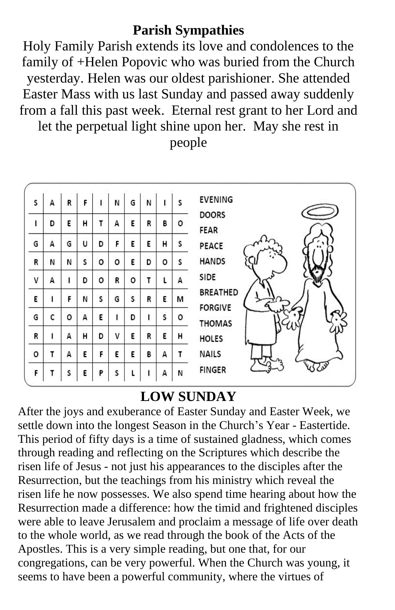### **Parish Sympathies**

Holy Family Parish extends its love and condolences to the family of +Helen Popovic who was buried from the Church yesterday. Helen was our oldest parishioner. She attended Easter Mass with us last Sunday and passed away suddenly from a fall this past week. Eternal rest grant to her Lord and

let the perpetual light shine upon her. May she rest in

people

| S            | А | R | F |   | N | G | И |   | s | <b>EVENING</b>                    |
|--------------|---|---|---|---|---|---|---|---|---|-----------------------------------|
| ı            | D | E | н | т | A | E | R | В | о | <b>DOORS</b><br>FEAR              |
| G            | A | G | U | D | F | E | Ε | н | s | PEACE                             |
| R            | N | И | s | o | o | E | D | o | S | <b>HANDS</b>                      |
| $\mathsf{V}$ | A |   | D | о | R | o | т | ι | А | SIDE                              |
| E            |   | F | N | s | G | s | R | Ε | м | <b>BREATHED</b><br><b>FORGIVE</b> |
| G            | C | ٥ | A | Е |   | D |   | s | ٥ | <b>THOMAS</b>                     |
| R            | ı | A | н | D | ٧ | E | R | E | н | <b>HOLES</b>                      |
| o            | Τ | А | E | F | E | E | в | A | т | <b>NAILS</b>                      |
| F.           | T | S | E | P | s |   |   | A | И | <b>FINGER</b>                     |

### **LOW SUNDAY**

After the joys and exuberance of Easter Sunday and Easter Week, we settle down into the longest Season in the Church's Year - Eastertide. This period of fifty days is a time of sustained gladness, which comes through reading and reflecting on the Scriptures which describe the risen life of Jesus - not just his appearances to the disciples after the Resurrection, but the teachings from his ministry which reveal the risen life he now possesses. We also spend time hearing about how the Resurrection made a difference: how the timid and frightened disciples were able to leave Jerusalem and proclaim a message of life over death to the whole world, as we read through the book of the Acts of the Apostles. This is a very simple reading, but one that, for our congregations, can be very powerful. When the Church was young, it seems to have been a powerful community, where the virtues of